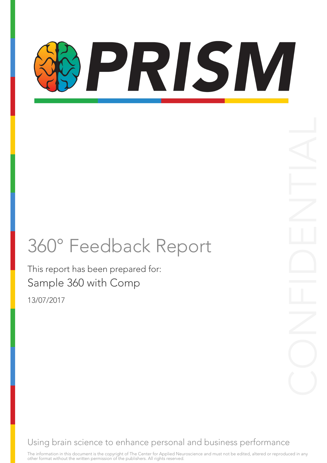# PRISM

### 360° Feedback Report

This report has been prepared for: Sample 360 with Comp 13/07/2017

Using brain science to enhance personal and business performance

The information in this document is the copyright of The Center for Applied Neuroscience and must not be edited, altered or reproduced in any<br>other format without the written permission of the publishers. All rights reserv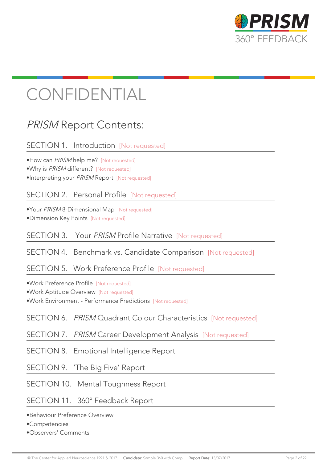

### CONFIDENTIAL

#### PRISM Report Contents:

#### SECTION 1. Introduction [Not requested]

•How can *PRISM* help me? [Not requested]

•Why is PRISM different? [Not requested]

•Interpreting your PRISM Report [Not requested]

SECTION 2. Personal Profile [Not requested]

•Your PRISM 8-Dimensional Map [Not requested] •Dimension Key Points [Not requested]

SECTION 3. Your PRISM Profile Narrative [Not requested]

SECTION 4. Benchmark vs. Candidate Comparison [Not requested]

SECTION 5. Work Preference Profile [Not requested]

•Work Preference Profile [Not requested]

•Work Aptitude Overview [Not requested]

•Work Environment - Performance Predictions [Not requested]

SECTION 6. PRISM Quadrant Colour Characteristics [Not requested]

SECTION 7. PRISM Career Development Analysis [Not requested]

SECTION 8. Emotional Intelligence Report

SECTION 9. 'The Big Five' Report

SECTION 10. Mental Toughness Report

SECTION 11. 360° Feedback Report

•Behaviour Preference Overview

•Competencies

•Observers' Comments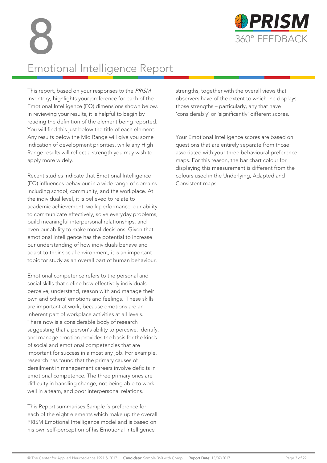

### Emotional Intelligence Report

This report, based on your responses to the PRISM Inventory, highlights your preference for each of the Emotional Intelligence (EQ) dimensions shown below. In reviewing your results, it is helpful to begin by reading the definition of the element being reported. You will find this just below the title of each element. Any results below the Mid Range will give you some indication of development priorities, while any High Range results will reflect a strength you may wish to apply more widely.

Recent studies indicate that Emotional Intelligence (EQ) influences behaviour in a wide range of domains including school, community, and the workplace. At the individual level, it is believed to relate to academic achievement, work performance, our ability to communicate effectively, solve everyday problems, build meaningful interpersonal relationships, and even our ability to make moral decisions. Given that emotional intelligence has the potential to increase our understanding of how individuals behave and adapt to their social environment, it is an important topic for study as an overall part of human behaviour.

Emotional competence refers to the personal and social skills that define how effectively individuals perceive, understand, reason with and manage their own and others' emotions and feelings. These skills are important at work, because emotions are an inherent part of workplace activities at all levels. There now is a considerable body of research suggesting that a person's ability to perceive, identify, and manage emotion provides the basis for the kinds of social and emotional competencies that are important for success in almost any job. For example, research has found that the primary causes of derailment in management careers involve deficits in emotional competence. The three primary ones are difficulty in handling change, not being able to work well in a team, and poor interpersonal relations.

This Report summarises Sample 's preference for each of the eight elements which make up the overall PRISM Emotional Intelligence model and is based on his own self-perception of his Emotional Intelligence

strengths, together with the overall views that observers have of the extent to which he displays those strengths – particularly, any that have 'considerably' or 'significantly' different scores.

Your Emotional Intelligence scores are based on questions that are entirely separate from those associated with your three behavioural preference maps. For this reason, the bar chart colour for displaying this measurement is different from the colours used in the Underlying, Adapted and Consistent maps.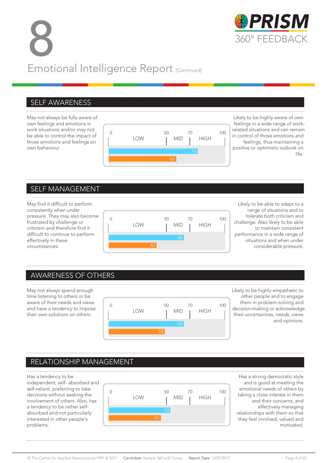8 FRISIV Emotional Intelligence Report [Continued]



May not always be fully aware of own feelings and emotions in work situations and/or may not be able to control the impact of those emotions and feelings on own behaviour.



Likely to be highly aware of own feelings in a wide range of workrelated situations and can remain in control of those emotions and feelings, thus maintaining a positive or optimistic outlook on life.

#### SELF MANAGEMENT

May find it difficult to perform consistently when under pressure. They may also become frustrated by challenge or criticism and therefore find it difficult to continue to perform effectively in these circumstances.



Likely to be able to adapt to a range of situations and to tolerate both criticism and challenge. Also likely to be able to maintain consistent performance in a wide range of situations and when under considerable pressure.

#### AWARENESS OF OTHERS

May not always spend enough time listening to others or be aware of their needs and views and have a tendency to impose their own solutions on others.



Likely to be highly empathetic to other people and to engage them in problem-solving and decision-making or acknowledge their uncertainties, needs, views and opinions.

#### RELATIONSHIP MANAGEMENT

Has a tendency to be independent, self- absorbed and self-reliant, preferring to take decisions without seeking the involvement of others. Also, has a tendency to be rather selfabsorbed and not particularly interested in other people's problems.



Has a strong democratic style and is good at meeting the emotional needs of others by taking a close interest in them and their concerns, and effectively managing relationships with them so that they feel involved, valued and motivated.

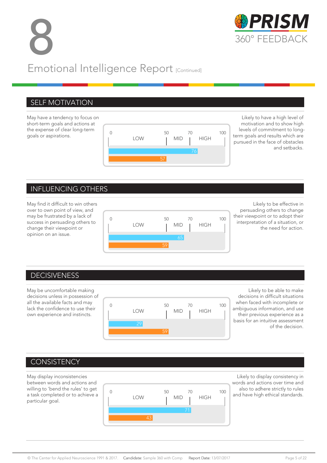8 PRISM Emotional Intelligence Report [Continued]

#### SELF MOTIVATION

May have a tendency to focus on short-term goals and actions at the expense of clear long-term goals or aspirations.



Likely to have a high level of motivation and to show high levels of commitment to longterm goals and results which are pursued in the face of obstacles and setbacks.

#### INFLUENCING OTHERS

May find it difficult to win others over to own point of view, and may be frustrated by a lack of success in persuading others to change their viewpoint or opinion on an issue.



Likely to be effective in persuading others to change their viewpoint or to adopt their interpretation of a situation, or the need for action.

#### DECISIVENESS

May be uncomfortable making decisions unless in possession of all the available facts and may lack the confidence to use their own experience and instincts.



Likely to be able to make decisions in difficult situations when faced with incomplete or ambiguous information, and use their previous experience as a basis for an intuitive assessment of the decision.

#### **CONSISTENCY**

May display inconsistencies between words and actions and willing to 'bend the rules' to get a task completed or to achieve a particular goal.



Likely to display consistency in words and actions over time and also to adhere strictly to rules and have high ethical standards.

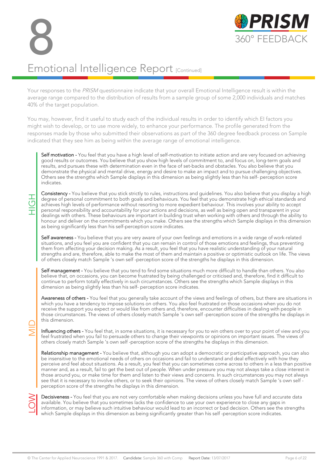8 PRISM



#### Emotional Intelligence Report [Continued]

Your responses to the PRISM questionnaire indicate that your overall Emotional Intelligence result is within the average range compared to the distribution of results from a sample group of some 2,000 individuals and matches 40% of the target population.

You may, however, find it useful to study each of the individual results in order to identify which EI factors you might wish to develop, or to use more widely, to enhance your performance. The profile generated from the responses made by those who submitted their observations as part of the 360 degree feedback process on Sample indicated that they see him as being within the average range of emotional intelligence.

Self motivation - You feel that you have a high level of self-motivation to initiate action and are very focused on achieving good results or outcomes. You believe that you show high levels of commitment to, and focus on, long-term goals and results, and pursues these with determination even in the face of set-backs and obstacles. You also believe that you demonstrate the physical and mental drive, energy and desire to make an impact and to pursue challenging objectives. Others see the strengths which Sample displays in this dimension as being slightly less than his self- perception score indicates.

Consistency - You believe that you stick strictly to rules, instructions and guidelines. You also believe that you display a high degree of personal commitment to both goals and behaviours. You feel that you demonstrate high ethical standards and achieves high levels of performance without resorting to more expedient behaviour. This involves your ability to accept personal responsibility and accountability for your actions and decisions, as well as being open and transparent in your dealings with others. These behaviours are important in building trust when working with others and through the ability to honour and deliver on the commitments which you make. Others see the strengths which Sample displays in this dimension as being significantly less than his self-perception score indicates. Of others closely the closely match Sample 's own self-perception score of the strengths he displays in this dimension. This implies the effective here of personal commitment to both goals and behaviours. You feel that you

Self awareness - You believe that you are very aware of your own feelings and emotions in a wide range of work-related situations, and you feel you are confident that you can remain in control of those emotions and feelings, thus preventing them from affecting your decision making. As a result, you feel that you have realistic understanding of your natural strengths and are, therefore, able to make the most of them and maintain a positive or optimistic outlook on life. The views of others closely match Sample 's own self-perception score of the strengths he displays in this

Self management - You believe that you tend to find some situations much more difficult to handle than others. You also believe that, on occasions, you can become frustrated by being challenged or criticised and, therefore, find it difficult to continue to perform totally effectively in such circumstances. Others see the strengths which Sample displays in this dimension as being slightly less than his self- perception score indicates.

Awareness of others - You feel that you generally take account of the views and feelings of others, but there are situations in which you have a tendency to impose solutions on others. You also feel frustrated on those occasions when you do not receive the support you expect or would like from others and, therefore, encounter difficulties in dealing with people in those circumstances. The views of others closely match Sample 's own self -perception score of the strengths he displays in this dimension.

Influencing others - You feel that, in some situations, it is necessary for you to win others over to your point of view and you feel frustrated when you fail to persuade others to change their viewpoints or opinions on important issues. The views of others closely match Sample 's own self -perception score of the strengths he displays in this dimension.

Relationship management - You believe that, although you can adopt a democratic or participative approach, you can also be insensitive to the emotional needs of others on occasions and fail to understand and deal effectively with how they perceive and feel about situations. As a result, you feel that you can sometimes come across to others in a less than positive manner and, as a result, fail to get the best out of people. When under pressure you may not always take a close interest in those around you, or make time for them and listen to their views and concerns. In such circumstances you may not always see that it is necessary to involve others, or to seek their opinions. The views of others closely match Sample 's own self - perception score of the strengths he displays in this dimension. In Sumension.<br>
Influencing others - You feel that, in some situations, it is necessed feel frustrated when you fail to persuade others to change their others closely match Sample 's own self-perception score of the **Relati** 

Something decisions unless you have full and accurate data available. You believe that you sometimes lacks the confidence to use your own experience to close any gaps in information, or may believe such intuitive behaviour available. You believe that you sometimes lacks the confidence to use your own experience to close any gaps in information, or may believe such intuitive behaviour would lead to an incorrect or bad decision. Others see the strengths<br>which Sample displays in this dimension as being significantly greater than his self-perception scor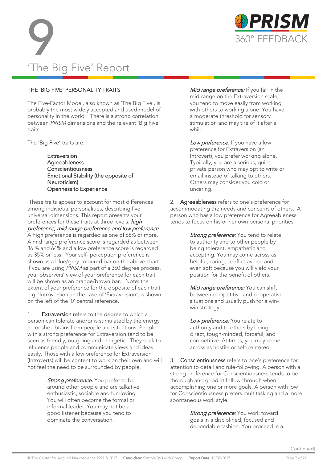

# 'The Big Five' Report **99 PRISM**<br>360° FEEDBACK<br>The Pic Five' Person

#### THE 'BIG FIVE' PERSONALITY TRAITS

The Five-Factor Model, also known as 'The Big Five', is probably the most widely accepted and used model of personality in the world. There is a strong correlation between PRISM dimensions and the relevant 'Big Five' traits.

The 'Big Five' traits are:

**Extraversion** Agreeableness Conscientiousness Emotional Stability (the opposite of Neuroticism) Openness to Experience

 These traits appear to account for most differences among individual personalities, describing five universal dimensions. This report presents your preferences for these traits at three levels: *high* preference, mid-range preference and low preference. A high preference is regarded as one of 65% or more. A mid range preference score is regarded as between 36 % and 64% and a low preference score is regarded as 35% or less. Your self- perception preference is shown as a blue/grey coloured bar on the above chart. If you are using PRISM as part of a 360 degree process, your observers' view of your preference for each trait will be shown as an orange/brown bar. Note: the extent of your preference for the opposite of each trait e.g. 'Introversion' in the case of 'Extraversion', is shown on the left of the '0' central reference.

1. Extraversion refers to the degree to which a person can tolerate and/or is stimulated by the energy he or she obtains from people and situations. People with a strong preference for Extraversion tend to be seen as friendly, outgoing and energetic. They seek to influence people and communicate views and ideas easily. Those with a low preference for Extraversion (Introverts) will be content to work on their own and will not feel the need to be surrounded by people.

> Strong preference: You prefer to be around other people and are talkative, enthusiastic, sociable and fun-loving. You will often become the formal or informal leader. You may not be a good listener because you tend to dominate the conversation.

Mid range preference: If you fall in the mid-range on the Extraversion scale, you tend to move easily from working with others to working alone. You have a moderate threshold for sensory stimulation and may tire of it after a while.

Low preference: If you have a low preference for Extraversion (an Introvert), you prefer working alone. Typically, you are a serious, quiet, private person who may opt to write or email instead of talking to others. Others may consider you cold or uncaring.

2. Agreeableness refers to one's preference for accommodating the needs and concerns of others. A person who has a low preference for Agreeableness tends to focus on his or her own personal priorities.

> Strong preference: You tend to relate to authority and to other people by being tolerant, empathetic and accepting. You may come across as helpful, caring, conflict-averse and even soft because you will yield your position for the benefit of others.

Mid range preference: You can shift between competitive and cooperative situations and usually push for a winwin strategy.

Low preference: You relate to authority and to others by being direct, tough-minded, forceful, and competitive. At times, you may come across as hostile or self-centered.

3. **Conscientiousness** refers to one's preference for attention to detail and rule-following. A person with a strong preference for Conscientiousness tends to be thorough and good at follow-through when accomplishing one or more goals. A person with low for Conscientiousness prefers multitasking and a more spontaneous work style.

> Strong preference: You work toward goals in a disciplined, focused and dependable fashion. You proceed in a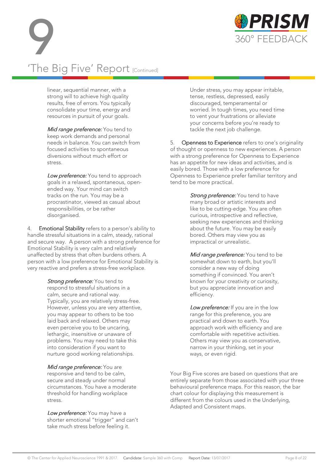



#### linear, sequential manner, with a strong will to achieve high quality results, free of errors. You typically consolidate your time, energy and resources in pursuit of your goals.

Mid range preference: You tend to keep work demands and personal needs in balance. You can switch from focused activities to spontaneous diversions without much effort or stress.

Low preference: You tend to approach goals in a relaxed, spontaneous, openended way. Your mind can switch tracks on the run. You may be a procrastinator, viewed as casual about responsibilities, or be rather disorganised.

4. Emotional Stability refers to a person's ability to handle stressful situations in a calm, steady, rational and secure way. A person with a strong preference for Emotional Stability is very calm and relatively unaffected by stress that often burdens others. A person with a low preference for Emotional Stability is very reactive and prefers a stress-free workplace.

> Strong preference: You tend to respond to stressful situations in a calm, secure and rational way. Typically, you are relatively stress-free. However, unless you are very attentive, you may appear to others to be too laid back and relaxed. Others may even perceive you to be uncaring, lethargic, insensitive or unaware of problems. You may need to take this into consideration if you want to nurture good working relationships.

Mid range preference: You are responsive and tend to be calm, secure and steady under normal circumstances. You have a moderate threshold for handling workplace stress.

Low preference: You may have a shorter emotional "trigger" and can't take much stress before feeling it.

Under stress, you may appear irritable, tense, restless, depressed, easily discouraged, temperamental or worried. In tough times, you need time to vent your frustrations or alleviate your concerns before you're ready to tackle the next job challenge.

5. **Openness to Experience** refers to one's originality of thought or openness to new experiences. A person with a strong preference for Openness to Experience has an appetite for new ideas and activities, and is easily bored. Those with a low preference for Openness to Experience prefer familiar territory and tend to be more practical.

> Strong preference: You tend to have many broad or artistic interests and like to be cutting-edge. You are often curious, introspective and reflective, seeking new experiences and thinking about the future. You may be easily bored. Others may view you as impractical or unrealistic.

> Mid range preference: You tend to be somewhat down to earth, but you'll consider a new way of doing something if convinced. You aren't known for your creativity or curiosity, but you appreciate innovation and efficiency.

> Low preference: If you are in the low range for this preference, you are practical and down to earth. You approach work with efficiency and are comfortable with repetitive activities. Others may view you as conservative, narrow in your thinking, set in your ways, or even rigid.

Your Big Five scores are based on questions that are entirely separate from those associated with your three behavioural preference maps. For this reason, the bar chart colour for displaying this measurement is different from the colours used in the Underlying, Adapted and Consistent maps.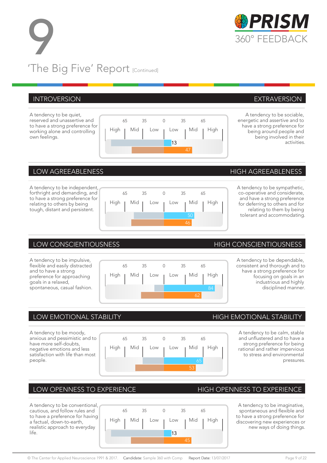# **99 PRISM**<br>360° FEEDBACK<br>TLANSING 'The Big Five' Report [Continued]

#### INTROVERSION EXTRAVERSION

A tendency to be quiet, reserved and unassertive and to have a strong preference for working alone and controlling own feelings.

A tendency to be independent, forthright and demanding, and to have a strong preference for relating to others by being tough, distant and persistent.



65 35 65 A tendency to be impulsive, flexible and easily distracted and to have a strong preference for approaching goals in a relaxed, spontaneous, casual fashion. High <sub>I</sub> Mid <sub>I</sub> Low <sub>I</sub> Mid <sub>I</sub> High

A tendency to be moody, anxious and pessimistic and to have more self-doubts, negative emotions and less satisfaction with life than most people.

|  | LOW OPENNESS TO EXPERIENCE |  |
|--|----------------------------|--|
|--|----------------------------|--|

A tendency to be conventional, cautious, and follow rules and to have a preference for having a factual, down-to-earth, realistic approach to everyday life.

|  | 65 | 35 |  |    | 35 | 65 |                                     |  |
|--|----|----|--|----|----|----|-------------------------------------|--|
|  |    |    |  |    |    |    | High   Mid   Low   Low   Mid   High |  |
|  |    |    |  | 13 |    |    |                                     |  |
|  |    |    |  |    |    |    |                                     |  |

65 35 0 35 65

High <sub>I</sub> Mid <sub>I</sub> Low <sub>I</sub> Mid <sub>I</sub> High

65 35 65

High | Mid | Low | Low | Mid | High

65 35 65

High | Mid | Low <sub>|</sub> Low <sub>|</sub> Mid | High

13

 $\overline{A}^{\pm}$ 

50 46

84

 $\mathcal{L}^{\mathcal{L}}$ 

65 53

#### LOW AGREEABLENESS AND THIGH AGREEABLENESS

A tendency to be sympathetic, co-operative and considerate, and have a strong preference for deferring to others and for relating to them by being tolerant and accommodating.

#### LOW CONSCIENTIOUSNESS HIGH CONSCIENTIOUSNESS

A tendency to be dependable, consistent and thorough and to have a strong preference for focusing on goals in an industrious and highly disciplined manner.

#### LOW EMOTIONAL STABILITY **EXAMPLE 20 YOM CONTROL** HIGH EMOTIONAL STABILITY

A tendency to be calm, stable and unflustered and to have a strong preference for being rational and rather impervious to stress and environmental pressures.

#### HIGH OPENNESS TO EXPERIENCE

A tendency to be imaginative, spontaneous and flexible and to have a strong preference for discovering new experiences or new ways of doing things.







A tendency to be sociable, energetic and assertive and to have a strong preference for being around people and being involved in their

activities.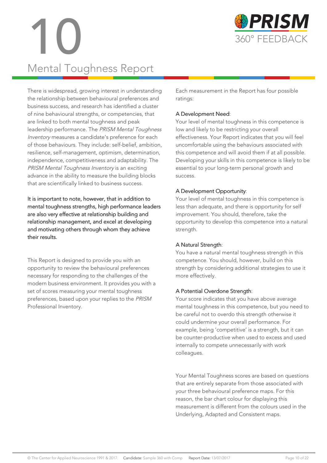

# 10 360° FEEDBACK Mental Toughness Report

There is widespread, growing interest in understanding the relationship between behavioural preferences and business success, and research has identified a cluster of nine behavioural strengths, or competencies, that are linked to both mental toughness and peak leadership performance. The PRISM Mental Toughness Inventory measures a candidate's preference for each of those behaviours. They include: self-belief, ambition, resilience, self-management, optimism, determination, independence, competitiveness and adaptability. The PRISM Mental Toughness Inventory is an exciting advance in the ability to measure the building blocks that are scientifically linked to business success.

It is important to note, however, that in addition to mental toughness strengths, high performance leaders are also very effective at relationship building and relationship management, and excel at developing and motivating others through whom they achieve their results.

This Report is designed to provide you with an opportunity to review the behavioural preferences necessary for responding to the challenges of the modern business environment. It provides you with a set of scores measuring your mental toughness preferences, based upon your replies to the PRISM Professional Inventory.

Each measurement in the Report has four possible ratings:

#### A Development Need:

Your level of mental toughness in this competence is low and likely to be restricting your overall effectiveness. Your Report indicates that you will feel uncomfortable using the behaviours associated with this competence and will avoid them if at all possible. Developing your skills in this competence is likely to be essential to your long-term personal growth and success.

#### A Development Opportunity:

Your level of mental toughness in this competence is less than adequate, and there is opportunity for self improvement. You should, therefore, take the opportunity to develop this competence into a natural strength.

#### A Natural Strength:

You have a natural mental toughness strength in this competence. You should, however, build on this strength by considering additional strategies to use it more effectively.

#### A Potential Overdone Strength:

Your score indicates that you have above average mental toughness in this competence, but you need to be careful not to overdo this strength otherwise it could undermine your overall performance. For example, being 'competitive' is a strength, but it can be counter-productive when used to excess and used internally to compete unnecessarily with work colleagues.

Your Mental Toughness scores are based on questions that are entirely separate from those associated with your three behavioural preference maps. For this reason, the bar chart colour for displaying this measurement is different from the colours used in the Underlying, Adapted and Consistent maps.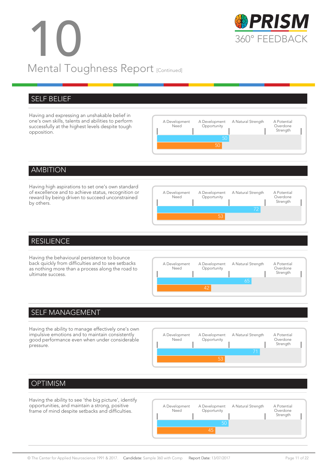# 10 360° FEEDBACK Mental Toughness Report [Continued]



#### SELF BELIEF

Having and expressing an unshakable belief in one's own skills, talents and abilities to perform successfully at the highest levels despite tough opposition.



#### AMBITION

Having high aspirations to set one's own standard of excellence and to achieve status, recognition or reward by being driven to succeed unconstrained by others.



#### RESILIENCE

Having the behavioural persistence to bounce back quickly from difficulties and to see setbacks as nothing more than a process along the road to ultimate success.



#### SELF MANAGEMENT

Having the ability to manage effectively one's own impulsive emotions and to maintain consistently good performance even when under considerable pressure.



#### **OPTIMISM**

Having the ability to see 'the big picture', identify opportunities, and maintain a strong, positive frame of mind despite setbacks and difficulties.

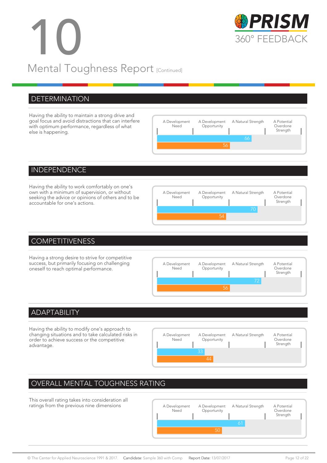# 10 360° FEEDBACK Mental Toughness Report [Continued]



#### **DETERMINATION**

Having the ability to maintain a strong drive and goal focus and avoid distractions that can interfere with optimum performance, regardless of what else is happening.



#### INDEPENDENCE

Having the ability to work comfortably on one's own with a minimum of supervision, or without seeking the advice or opinions of others and to be accountable for one's actions.



#### **COMPETITIVENESS**

Having a strong desire to strive for competitive success, but primarily focusing on challenging oneself to reach optimal performance.



#### ADAPTABILITY

Having the ability to modify one's approach to changing situations and to take calculated risks in order to achieve success or the competitive advantage.



#### OVERALL MENTAL TOUGHNESS RATING

This overall rating takes into consideration all ratings from the previous nine dimensions A Development

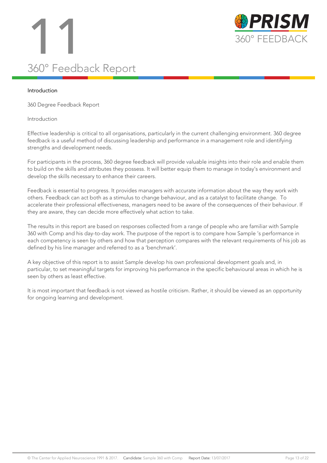# 11 360° FEEDBACK 360° Feedback Report



#### Introduction

360 Degree Feedback Report

#### Introduction

Effective leadership is critical to all organisations, particularly in the current challenging environment. 360 degree feedback is a useful method of discussing leadership and performance in a management role and identifying strengths and development needs.

For participants in the process, 360 degree feedback will provide valuable insights into their role and enable them to build on the skills and attributes they possess. It will better equip them to manage in today's environment and develop the skills necessary to enhance their careers.

Feedback is essential to progress. It provides managers with accurate information about the way they work with others. Feedback can act both as a stimulus to change behaviour, and as a catalyst to facilitate change. To accelerate their professional effectiveness, managers need to be aware of the consequences of their behaviour. If they are aware, they can decide more effectively what action to take.

The results in this report are based on responses collected from a range of people who are familiar with Sample 360 with Comp and his day-to-day work. The purpose of the report is to compare how Sample 's performance in each competency is seen by others and how that perception compares with the relevant requirements of his job as defined by his line manager and referred to as a 'benchmark'.

A key objective of this report is to assist Sample develop his own professional development goals and, in particular, to set meaningful targets for improving his performance in the specific behavioural areas in which he is seen by others as least effective.

It is most important that feedback is not viewed as hostile criticism. Rather, it should be viewed as an opportunity for ongoing learning and development.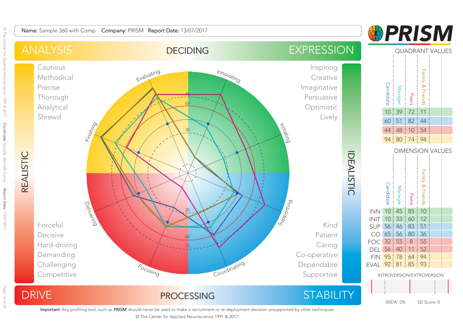**&PRISM** 



Important: Any profiling tool, such as PRISM, should never be used to make a recruitment or re-deployment decision unsupported by other techniques.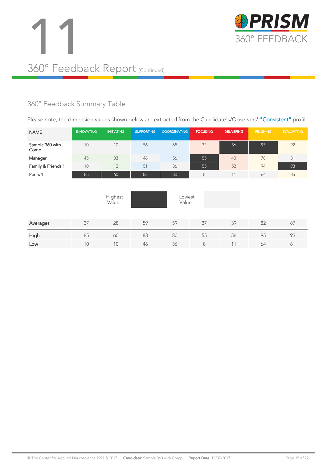



#### 360° Feedback Summary Table

Please note, the dimension values shown below are extracted from the Candidate's/Observers' "Consistent" profile

| <b>NAME</b>             | <b>INNOVATING</b> | <b>INITIATING</b> | <b>SUPPORTING</b> | <b>COORDINATING</b> | <b>FOCUSING</b> | <b>DELIVERING</b> | <b>FINISHING</b> | <b>EVALUATING</b> |
|-------------------------|-------------------|-------------------|-------------------|---------------------|-----------------|-------------------|------------------|-------------------|
| Sample 360 with<br>Comp | 10                | 10                | 56                | 65                  | 32              | 56                | 95               | 92                |
| Manager                 | 45                | 33                | 46                | 56                  | 55              | 40                | 78               | 81                |
| Family & Friends 1      | 10                | 12                | 51                | 36                  | 55              | 52                | 94               | 93                |
| Peers 1                 | 85                | 60                | 83                | 80                  | 8               | 11                | 64               | 85                |
|                         |                   | Highest<br>Value  |                   | Lowest<br>Value     |                 |                   |                  |                   |
| Averages                | 37                | 28                | 59                | 59                  | 37              | 39                | 82               | 87                |
| High                    | 85                | 60                | 83                | 80                  | 55              | 56                | 95               | 93                |
| Low                     | 10                | 10                | 46                | 36                  | 8               | 11                | 64               | 81                |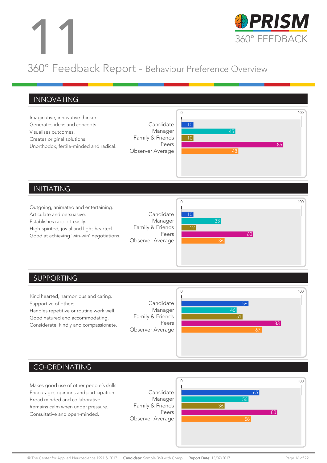

#### 360° Feedback Report - Behaviour Preference Overview

#### $\overline{0}$ 100 INNOVATING Imaginative, innovative thinker. Generates ideas and concepts. Visualises outcomes. Creates original solutions. Unorthodox, fertile-minded and radical. Candidate 10 Manager 45 Family & Friends 10 Peers 85 Observer Average 48

#### INITIATING

Outgoing, animated and entertaining. Articulate and persuasive. Establishes rapport easily. High-spirited, jovial and light-hearted. Good at achieving 'win-win' negotiations.





#### SUPPORTING



#### CO-ORDINATING

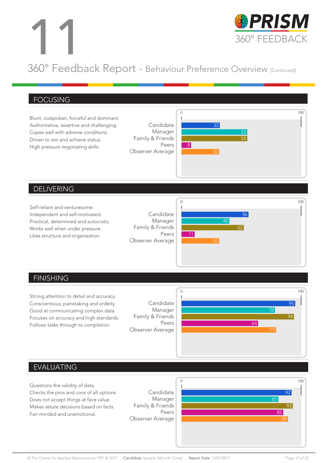

#### 360° Feedback Report - Behaviour Preference Overview [Continued]

#### FOCUSING



#### DELIVERING

Self-reliant and venturesome. Independent and self-motivated. Practical, determined and autocratic. Works well when under pressure. Likes structure and organisation.





#### FINISHING

Strong attention to detail and accuracy. Conscientious, painstaking and orderly. Good at communicating complex data. Focuses on accuracy and high standards. Follows tasks through to completion.





#### EVALUATING

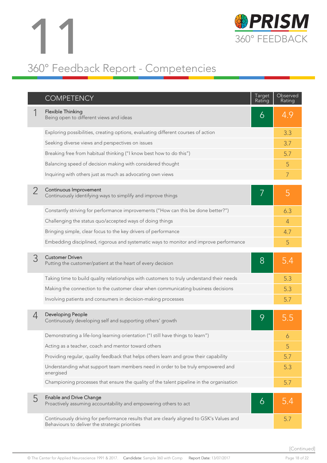

### 360° Feedback Report - Competencies

|   | <b>COMPETENCY</b>                                                                                                                           | Target<br>Rating | Observed<br>Rating |
|---|---------------------------------------------------------------------------------------------------------------------------------------------|------------------|--------------------|
|   | Flexible Thinking<br>Being open to different views and ideas                                                                                | 6                | 4.9                |
|   | Exploring possibilities, creating options, evaluating different courses of action                                                           |                  | 3.3                |
|   | Seeking diverse views and perspectives on issues                                                                                            |                  | 3.7                |
|   | Breaking free from habitual thinking ("I know best how to do this")                                                                         |                  | 5.7                |
|   | Balancing speed of decision making with considered thought                                                                                  |                  | 5                  |
|   | Inquiring with others just as much as advocating own views                                                                                  |                  | $\overline{7}$     |
|   | Continuous Improvement<br>Continuously identifying ways to simplify and improve things                                                      |                  | 5                  |
|   | Constantly striving for performance improvements ("How can this be done better?")                                                           |                  | 6.3                |
|   | Challenging the status quo/accepted ways of doing things                                                                                    |                  | $\overline{4}$     |
|   | Bringing simple, clear focus to the key drivers of performance                                                                              |                  | 4.7                |
|   | Embedding disciplined, rigorous and systematic ways to monitor and improve performance                                                      |                  | 5                  |
| 3 | <b>Customer Driven</b><br>Putting the customer/patient at the heart of every decision                                                       | 8                | 5.4                |
|   | Taking time to build quality relationships with customers to truly understand their needs                                                   |                  | 5.3                |
|   | Making the connection to the customer clear when communicating business decisions                                                           |                  | 5.3                |
|   | Involving patients and consumers in decision-making processes                                                                               |                  | 5.7                |
| 4 | Developing People<br>Continuously developing self and supporting others' growth                                                             | 9                | 5.5                |
|   | Demonstrating a life-long learning orientation ("I still have things to learn")                                                             |                  | 6                  |
|   | Acting as a teacher, coach and mentor toward others                                                                                         |                  | 5                  |
|   | Providing regular, quality feedback that helps others learn and grow their capability                                                       |                  | 5.7                |
|   | Understanding what support team members need in order to be truly empowered and<br>energised                                                |                  | 5.3                |
|   | Championing processes that ensure the quality of the talent pipeline in the organisation                                                    |                  | 5.7                |
| 5 | <b>Enable and Drive Change</b><br>Proactively assuming accountability and empowering others to act                                          | 6                | 5.4                |
|   | Continuously driving for performance results that are clearly aligned to GSK's Values and<br>Behaviours to deliver the strategic priorities |                  | 5.7                |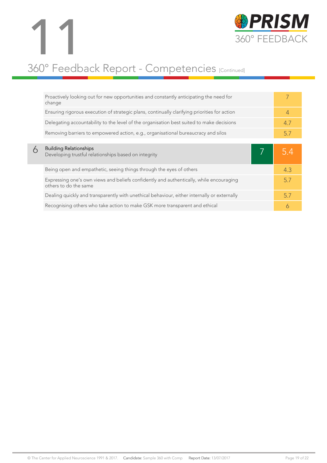

### 360° Feedback Report - Competencies [Continued]

|   | Proactively looking out for new opportunities and constantly anticipating the need for<br>change                 |                |
|---|------------------------------------------------------------------------------------------------------------------|----------------|
|   | Ensuring rigorous execution of strategic plans, continually clarifying priorities for action                     | $\overline{4}$ |
|   | Delegating accountability to the level of the organisation best suited to make decisions                         | 4.7            |
|   | Removing barriers to empowered action, e.g., organisational bureaucracy and silos                                | 5.7            |
|   |                                                                                                                  |                |
|   | <b>Building Relationships</b>                                                                                    |                |
| 6 | Developing trustful relationships based on integrity                                                             |                |
|   | Being open and empathetic, seeing things through the eyes of others                                              | 4.3            |
|   | Expressing one's own views and beliefs confidently and authentically, while encouraging<br>others to do the same | 57             |
|   | Dealing quickly and transparently with unethical behaviour, either internally or externally                      | 5.7            |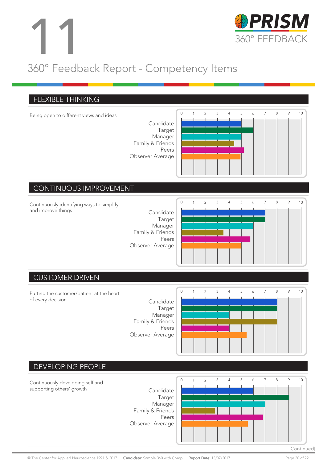

### 360° Feedback Report - Competency Items

#### 0 1 2 3 4 5 6 7 8 9 10 0 1 2 3 4 5 6 7 8 9 10 0 1 2 3 4 5 6 7 8 9 10 FLEXIBLE THINKING Being open to different views and ideas Candidate Target Manager Family & Friends Peers Observer Average CONTINUOUS IMPROVEMENT Continuously identifying ways to simplify and improve things extending the Candidate Target Manager Family & Friends Peers Observer Average CUSTOMER DRIVEN Putting the customer/patient at the heart of every decision and contact the Candidate



#### DEVELOPING PEOPLE



© The Center for Applied Neuroscience 1991 & 2017. Candidate: Sample 360 with Comp Report Date: 13/07/2017 Page 20 of 22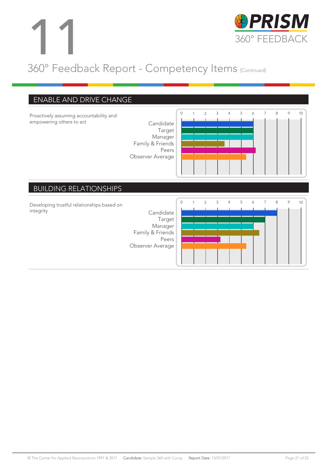

### 360° Feedback Report - Competency Items [Continued]

#### ENABLE AND DRIVE CHANGE

Proactively assuming accountability and empowering others to act Candidate

Target Manager Family & Friends Peers Observer Average



#### BUILDING RELATIONSHIPS

Developing trustful relationships based on integrity Candidate

Target Manager Family & Friends Peers Observer Average